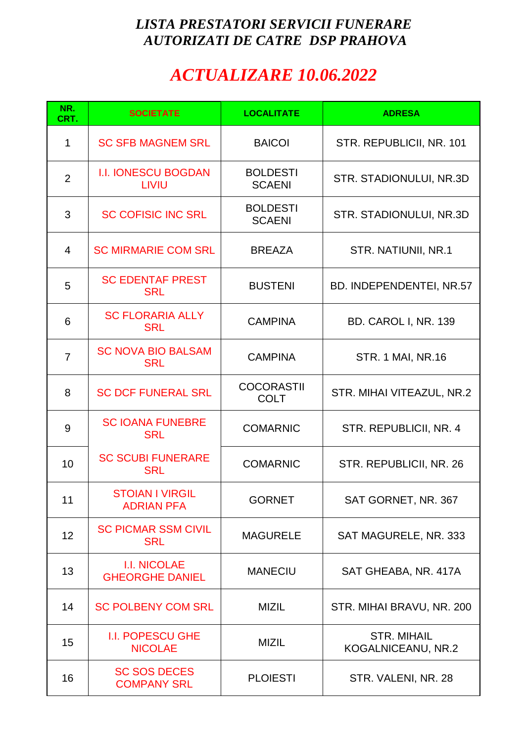## *LISTA PRESTATORI SERVICII FUNERARE AUTORIZATI DE CATRE DSP PRAHOVA*

## *ACTUALIZARE 10.06.2022*

| NR.<br>CRT.    | <b>SOCIETATE</b>                              | <b>LOCALITATE</b>                | <b>ADRESA</b>                            |
|----------------|-----------------------------------------------|----------------------------------|------------------------------------------|
| $\mathbf 1$    | <b>SC SFB MAGNEM SRL</b>                      | <b>BAICOI</b>                    | STR. REPUBLICII, NR. 101                 |
| $\overline{2}$ | <b>I.I. IONESCU BOGDAN</b><br><b>LIVIU</b>    | <b>BOLDESTI</b><br><b>SCAENI</b> | STR. STADIONULUI, NR.3D                  |
| 3              | <b>SC COFISIC INC SRL</b>                     | <b>BOLDESTI</b><br><b>SCAENI</b> | STR. STADIONULUI, NR.3D                  |
| $\overline{4}$ | <b>SC MIRMARIE COM SRL</b>                    | <b>BREAZA</b>                    | STR. NATIUNII, NR.1                      |
| 5              | <b>SC EDENTAF PREST</b><br><b>SRL</b>         | <b>BUSTENI</b>                   | BD. INDEPENDENTEI, NR.57                 |
| 6              | <b>SC FLORARIA ALLY</b><br><b>SRL</b>         | <b>CAMPINA</b>                   | BD. CAROL I, NR. 139                     |
| $\overline{7}$ | <b>SC NOVA BIO BALSAM</b><br><b>SRL</b>       | <b>CAMPINA</b>                   | <b>STR. 1 MAI, NR.16</b>                 |
| 8              | <b>SC DCF FUNERAL SRL</b>                     | <b>COCORASTII</b><br><b>COLT</b> | STR. MIHAI VITEAZUL, NR.2                |
| 9              | <b>SC IOANA FUNEBRE</b><br><b>SRL</b>         | <b>COMARNIC</b>                  | STR. REPUBLICII, NR. 4                   |
| 10             | <b>SC SCUBI FUNERARE</b><br><b>SRL</b>        | <b>COMARNIC</b>                  | STR. REPUBLICII, NR. 26                  |
| 11             | <b>STOIAN I VIRGIL</b><br><b>ADRIAN PFA</b>   | <b>GORNET</b>                    | SAT GORNET, NR. 367                      |
| 12             | <b>SC PICMAR SSM CIVIL</b><br><b>SRL</b>      | <b>MAGURELE</b>                  | SAT MAGURELE, NR. 333                    |
| 13             | <b>I.I. NICOLAE</b><br><b>GHEORGHE DANIEL</b> | <b>MANECIU</b>                   | SAT GHEABA, NR. 417A                     |
| 14             | <b>SC POLBENY COM SRL</b>                     | <b>MIZIL</b>                     | STR. MIHAI BRAVU, NR. 200                |
| 15             | <b>I.I. POPESCU GHE</b><br><b>NICOLAE</b>     | <b>MIZIL</b>                     | <b>STR. MIHAIL</b><br>KOGALNICEANU, NR.2 |
| 16             | <b>SC SOS DECES</b><br><b>COMPANY SRL</b>     | <b>PLOIESTI</b>                  | STR. VALENI, NR. 28                      |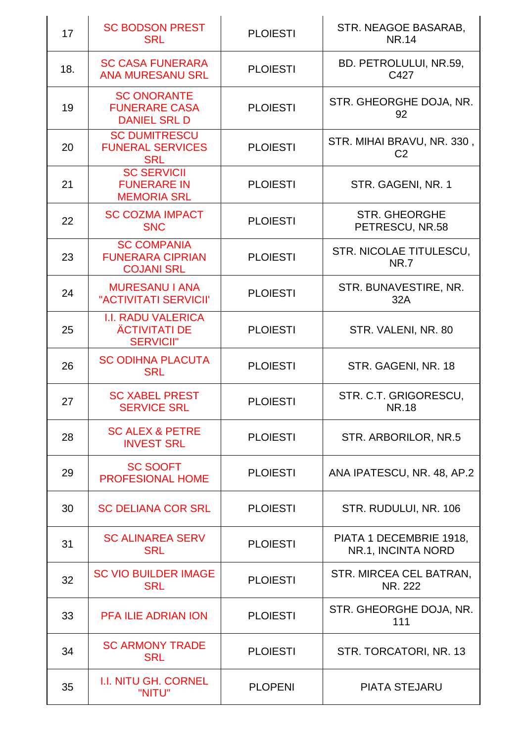| 17  | <b>SC BODSON PREST</b><br><b>SRL</b>                                  | <b>PLOIESTI</b> | STR. NEAGOE BASARAB,<br><b>NR.14</b>          |
|-----|-----------------------------------------------------------------------|-----------------|-----------------------------------------------|
| 18. | <b>SC CASA FUNERARA</b><br><b>ANA MURESANU SRL</b>                    | <b>PLOIESTI</b> | BD. PETROLULUI, NR.59,<br>C427                |
| 19  | <b>SC ONORANTE</b><br><b>FUNERARE CASA</b><br><b>DANIEL SRL D</b>     | <b>PLOIESTI</b> | STR. GHEORGHE DOJA, NR.<br>92                 |
| 20  | <b>SC DUMITRESCU</b><br><b>FUNERAL SERVICES</b><br><b>SRL</b>         | <b>PLOIESTI</b> | STR. MIHAI BRAVU, NR. 330,<br>C <sub>2</sub>  |
| 21  | <b>SC SERVICII</b><br><b>FUNERARE IN</b><br><b>MEMORIA SRL</b>        | <b>PLOIESTI</b> | STR. GAGENI, NR. 1                            |
| 22  | <b>SC COZMA IMPACT</b><br><b>SNC</b>                                  | <b>PLOIESTI</b> | <b>STR. GHEORGHE</b><br>PETRESCU, NR.58       |
| 23  | <b>SC COMPANIA</b><br><b>FUNERARA CIPRIAN</b><br><b>COJANI SRL</b>    | <b>PLOIESTI</b> | STR. NICOLAE TITULESCU,<br><b>NR.7</b>        |
| 24  | <b>MURESANU I ANA</b><br>"ACTIVITATI SERVICII"                        | <b>PLOIESTI</b> | STR. BUNAVESTIRE, NR.<br>32A                  |
| 25  | <b>I.I. RADU VALERICA</b><br><b>ÄCTIVITATI DE</b><br><b>SERVICII"</b> | <b>PLOIESTI</b> | STR. VALENI, NR. 80                           |
| 26  | <b>SC ODIHNA PLACUTA</b><br><b>SRL</b>                                | <b>PLOIESTI</b> | STR. GAGENI, NR. 18                           |
| 27  | <b>SC XABEL PREST</b><br><b>SERVICE SRL</b>                           | <b>PLOIESTI</b> | STR. C.T. GRIGORESCU,<br>NR.18                |
| 28  | <b>SC ALEX &amp; PETRE</b><br><b>INVEST SRL</b>                       | <b>PLOIESTI</b> | STR. ARBORILOR, NR.5                          |
| 29  | <b>SC SOOFT</b><br><b>PROFESIONAL HOME</b>                            | <b>PLOIESTI</b> | ANA IPATESCU, NR. 48, AP.2                    |
| 30  | <b>SC DELIANA COR SRL</b>                                             | <b>PLOIESTI</b> | STR. RUDULUI, NR. 106                         |
| 31  | <b>SC ALINAREA SERV</b><br><b>SRL</b>                                 | <b>PLOIESTI</b> | PIATA 1 DECEMBRIE 1918,<br>NR.1, INCINTA NORD |
| 32  | <b>SC VIO BUILDER IMAGE</b><br><b>SRL</b>                             | <b>PLOIESTI</b> | STR. MIRCEA CEL BATRAN,<br>NR. 222            |
| 33  | <b>PFA ILIE ADRIAN ION</b>                                            | <b>PLOIESTI</b> | STR. GHEORGHE DOJA, NR.<br>111                |
| 34  | <b>SC ARMONY TRADE</b><br><b>SRL</b>                                  | <b>PLOIESTI</b> | STR. TORCATORI, NR. 13                        |
| 35  | <b>I.I. NITU GH. CORNEL</b><br>"NITU"                                 | <b>PLOPENI</b>  | <b>PIATA STEJARU</b>                          |